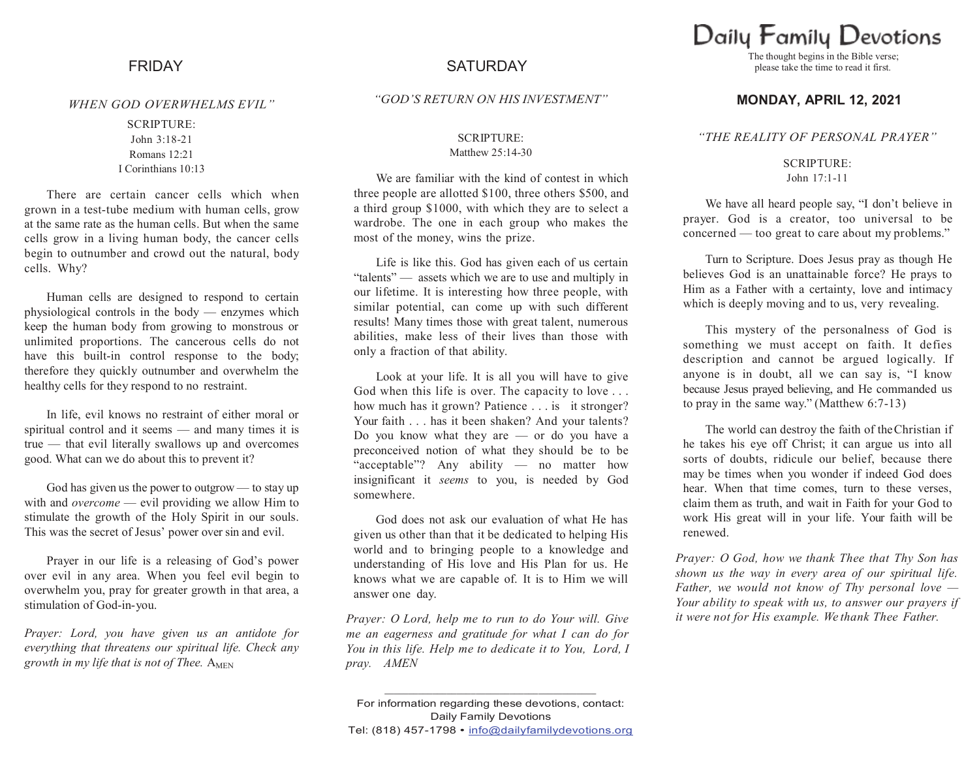#### *WHEN GOD OVERWHELMS EVIL"*

SCRIPTURE: John 3:18-21 Romans 12:21 I Corinthians 10:13

There are certain cancer cells which when grown in a test-tube medium with human cells, grow at the same rate as the human cells. But when the same cells grow in a living human body, the cancer cells begin to outnumber and crowd out the natural, body cells. Why?

Human cells are designed to respond to certain physiological controls in the body — enzymes which keep the human body from growing to monstrous or unlimited proportions. The cancerous cells do not have this built-in control response to the body; therefore they quickly outnumber and overwhelm the healthy cells for they respond to no restraint.

In life, evil knows no restraint of either moral or spiritual control and it seems — and many times it is true — that evil literally swallows up and overcomes good. What can we do about this to prevent it?

God has given us the power to outgrow — to stay up with and *overcome* — evil providing we allow Him to stimulate the growth of the Holy Spirit in our souls. This was the secret of Jesus' power over sin and evil.

Prayer in our life is a releasing of God's power over evil in any area. When you feel evil begin to overwhelm you, pray for greater growth in that area, a stimulation of God-in-you.

*Prayer: Lord, you have given us an antidote for everything that threatens our spiritual life. Check any*  growth in my life that is not of Thee. A<sub>MEN</sub>

# FRIDAY SATURDAY

*"GOD'S RETURN ON HIS INVESTMENT"*

#### SCRIPTURE: Matthew 25:14-30

We are familiar with the kind of contest in which three people are allotted \$100, three others \$500, and a third group \$1000, with which they are to select a wardrobe. The one in each group who makes the most of the money, wins the prize.

Life is like this. God has given each of us certain "talents" — assets which we are to use and multiply in our lifetime. It is interesting how three people, with similar potential, can come up with such different results! Many times those with great talent, numerous abilities, make less of their lives than those with only a fraction of that ability.

Look at your life. It is all you will have to give God when this life is over. The capacity to love . . . how much has it grown? Patience . . . is it stronger? Your faith . . . has it been shaken? And your talents? Do you know what they are  $-$  or do you have a preconceived notion of what they should be to be "acceptable"? Any ability — no matter how insignificant it *seems* to you, is needed by God somewhere.

God does not ask our evaluation of what He has given us other than that it be dedicated to helping His world and to bringing people to a knowledge and understanding of His love and His Plan for us. He knows what we are capable of. It is to Him we will answer one day.

*Prayer: O Lord, help me to run to do Your will. Give me an eagerness and gratitude for what I can do for You in this life. Help me to dedicate it to You, Lord, I pray. AMEN*

For information regarding these devotions, contact: Daily Family Devotions Tel: (818) 457-1798 • info@dailyfamilydevotions.org

**\_\_\_\_\_\_\_\_\_\_\_\_\_\_\_\_\_\_\_\_\_\_\_\_\_\_\_\_\_\_\_\_\_\_\_\_\_\_\_\_\_\_\_\_**

# Daily Family Devotions

The thought begins in the Bible verse; please take the time to read it first.

### **MONDAY, APRIL 12, 2021**

#### *"THE REALITY OF PERSONAL PRAYER"*

SCRIPTURE: John 17:1-11

We have all heard people say, "I don't believe in prayer. God is a creator, too universal to be concerned — too great to care about my problems."

Turn to Scripture. Does Jesus pray as though He believes God is an unattainable force? He prays to Him as a Father with a certainty, love and intimacy which is deeply moving and to us, very revealing.

This mystery of the personalness of God is something we must accept on faith. It defies description and cannot be argued logically. If anyone is in doubt, all we can say is, "I know because Jesus prayed believing, and He commanded us to pray in the same way." (Matthew 6:7-13)

The world can destroy the faith of theChristian if he takes his eye off Christ; it can argue us into all sorts of doubts, ridicule our belief, because there may be times when you wonder if indeed God does hear. When that time comes, turn to these verses, claim them as truth, and wait in Faith for your God to work His great will in your life. Your faith will be renewed.

*Prayer: O God, how we thank Thee that Thy Son has shown us the way in every area of our spiritual life. Father, we would not know of Thy personal love — Your ability to speak with us, to answer our prayers if it were not for His example. We thank Thee Father.*